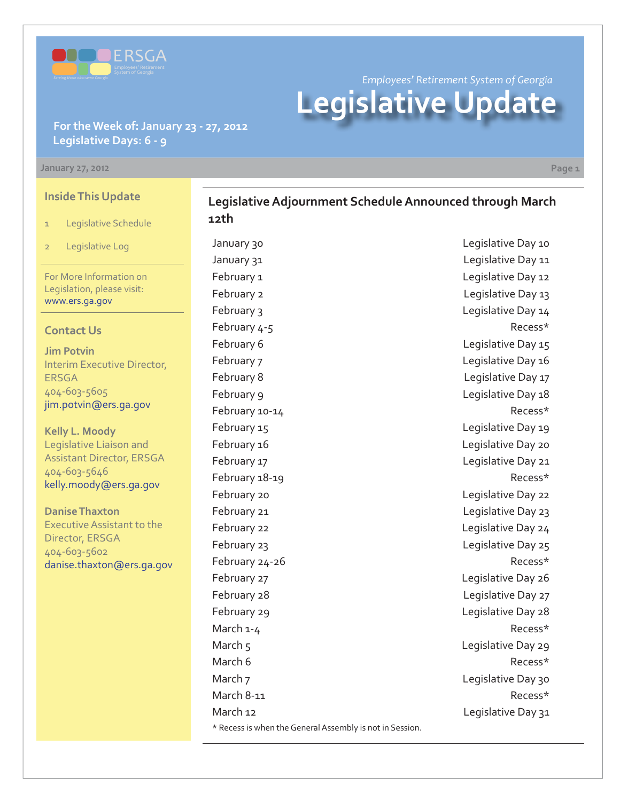

*Employees' Retirement System of Georgia* **Legislative Update**

**Legislative Adjournment Schedule Announced through March** 

### **For the Week of: January 23 - 27, 2012 Legislative Days: 6 - 9**

#### **January 27, 2012 Page 1**

**Inside This Update**

- 1 Legislative Schedule
- 2 Legislative Log

For More Information on Legislation, please visit: www.ers.ga.gov

#### **Contact Us**

**Jim Potvin** Interim Executive Director, ERSGA 404-603-5605 jim.potvin@ers.ga.gov

**Kelly L. Moody** Legislative Liaison and Assistant Director, ERSGA 404-603-5646 kelly.moody@ers.ga.gov

**Danise Thaxton** Executive Assistant to the Director, ERSGA 404-603-5602 danise.thaxton@ers.ga.gov **12th** \* Recess is when the General Assembly is not in Session.

January 30 **Legislative Day 10** January 31 Legislative Day 11 February 1 and 12 and 12 and 12 and 12 and 12 and 12 and 12 and 12 and 12 and 12 and 12 and 12 and 12 and 12 and 12 and 12 and 12 and 12 and 12 and 12 and 12 and 12 and 12 and 12 and 12 and 12 and 12 and 12 and 12 and 12 a February 2 **Legislative Day 13** February 3 Legislative Day 14 February 4-5 Recess\* February 6 **Legislative Day 15** February 7 Legislative Day 16 February 8 **Legislative Day 17** February 9 **Legislative Day 18** February 10-14 **Recess**\* February 15 and 15 and 15 and 15 and 16 and 16 and 16 and 16 and 16 and 16 and 16 and 16 and 16 and 16 and 16 and 16 and 16 and 16 and 16 and 16 and 16 and 16 and 16 and 16 and 16 and 16 and 16 and 16 and 16 and 16 and 16 February 16 **Legislative Day 20** February 17 **Legislative Day 21** February 18-19 **Recess**\* February 20 **Legislative Day 22** February 21 **Legislative Day 23** February 22 **Legislative Day 24** February 23 **Legislative Day 25** February 24-26 Recess\* February 27 The Contract Contract Contract Contract Contract Contract Contract Contract Contract Contract Contract Contract Contract Contract Contract Contract Contract Contract Contract Contract Contract Contract Contract February 28 **Legislative Day 27** February 29 **Legislative Day 28** March 1-4 Recess\* March 5 Legislative Day 29 March 6 **Recess**\* March 7 Legislative Day 30 March 8-11 Recess\* March 12 **March 12** Legislative Day 31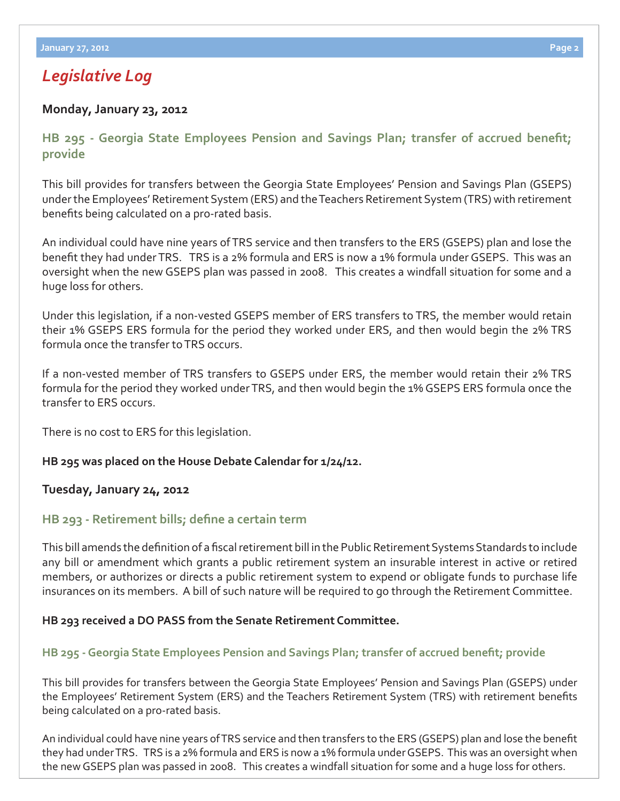## *Legislative Log*

### **Monday, January 23, 2012**

**HB 295 - Georgia State Employees Pension and Savings Plan; transfer of accrued benefit; provide**

This bill provides for transfers between the Georgia State Employees' Pension and Savings Plan (GSEPS) under the Employees' Retirement System (ERS) and the Teachers Retirement System (TRS) with retirement benefits being calculated on a pro-rated basis.

An individual could have nine years of TRS service and then transfers to the ERS (GSEPS) plan and lose the benefit they had under TRS. TRS is a 2% formula and ERS is now a 1% formula under GSEPS. This was an oversight when the new GSEPS plan was passed in 2008. This creates a windfall situation for some and a huge loss for others.

Under this legislation, if a non-vested GSEPS member of ERS transfers to TRS, the member would retain their 1% GSEPS ERS formula for the period they worked under ERS, and then would begin the 2% TRS formula once the transfer to TRS occurs.

If a non-vested member of TRS transfers to GSEPS under ERS, the member would retain their 2% TRS formula for the period they worked under TRS, and then would begin the 1% GSEPS ERS formula once the transfer to ERS occurs.

There is no cost to ERS for this legislation.

### **HB 295 was placed on the House Debate Calendar for 1/24/12.**

### **Tuesday, January 24, 2012**

## **HB 293 - Retirement bills; define a certain term**

This bill amends the definition of a fiscal retirement bill in the Public Retirement Systems Standards to include any bill or amendment which grants a public retirement system an insurable interest in active or retired members, or authorizes or directs a public retirement system to expend or obligate funds to purchase life insurances on its members. A bill of such nature will be required to go through the Retirement Committee.

### **HB 293 received a DO PASS from the Senate Retirement Committee.**

## **HB 295 - Georgia State Employees Pension and Savings Plan; transfer of accrued benefit; provide**

This bill provides for transfers between the Georgia State Employees' Pension and Savings Plan (GSEPS) under the Employees' Retirement System (ERS) and the Teachers Retirement System (TRS) with retirement benefits being calculated on a pro-rated basis.

An individual could have nine years of TRS service and then transfers to the ERS (GSEPS) plan and lose the benefit they had under TRS. TRS is a 2% formula and ERS is now a 1% formula under GSEPS. This was an oversight when the new GSEPS plan was passed in 2008. This creates a windfall situation for some and a huge loss for others.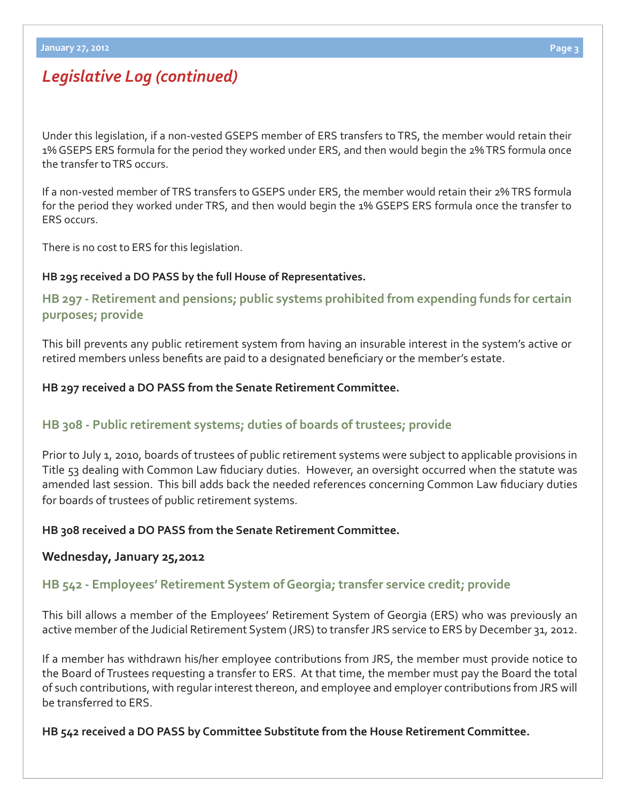# *Legislative Log (continued)*

Under this legislation, if a non-vested GSEPS member of ERS transfers to TRS, the member would retain their 1% GSEPS ERS formula for the period they worked under ERS, and then would begin the 2% TRS formula once the transfer to TRS occurs.

If a non-vested member of TRS transfers to GSEPS under ERS, the member would retain their 2% TRS formula for the period they worked under TRS, and then would begin the 1% GSEPS ERS formula once the transfer to ERS occurs.

There is no cost to ERS for this legislation.

#### **HB 295 received a DO PASS by the full House of Representatives.**

**[HB 297 - Retirement and pensions; public systems prohibited from expending funds for certain](http://www.legis.ga.gov/legislation/en-US/Display/20112012/HB/297)  purposes; provide**

This bill prevents any public retirement system from having an insurable interest in the system's active or retired members unless benefits are paid to a designated beneficiary or the member's estate.

### **HB 297 received a DO PASS from the Senate Retirement Committee.**

## **[HB 308 - Public retirement systems; duties of boards of trustees; provide](http://www.legis.ga.gov/legislation/en-US/Display/20112012/HB/308)**

Prior to July 1, 2010, boards of trustees of public retirement systems were subject to applicable provisions in Title 53 dealing with Common Law fiduciary duties. However, an oversight occurred when the statute was amended last session. This bill adds back the needed references concerning Common Law fiduciary duties for boards of trustees of public retirement systems.

### **HB 308 received a DO PASS from the Senate Retirement Committee.**

#### **Wednesday, January 25,2012**

### **[HB 542 - Employees' Retirement System of Georgia; transfer service credit; provide](http://www.legis.ga.gov/legislation/en-US/Display/20112012/HB/542)**

This bill allows a member of the Employees' Retirement System of Georgia (ERS) who was previously an active member of the Judicial Retirement System (JRS) to transfer JRS service to ERS by December 31, 2012.

If a member has withdrawn his/her employee contributions from JRS, the member must provide notice to the Board of Trustees requesting a transfer to ERS. At that time, the member must pay the Board the total of such contributions, with regular interest thereon, and employee and employer contributions from JRS will be transferred to ERS.

#### **HB 542 received a DO PASS by Committee Substitute from the House Retirement Committee.**